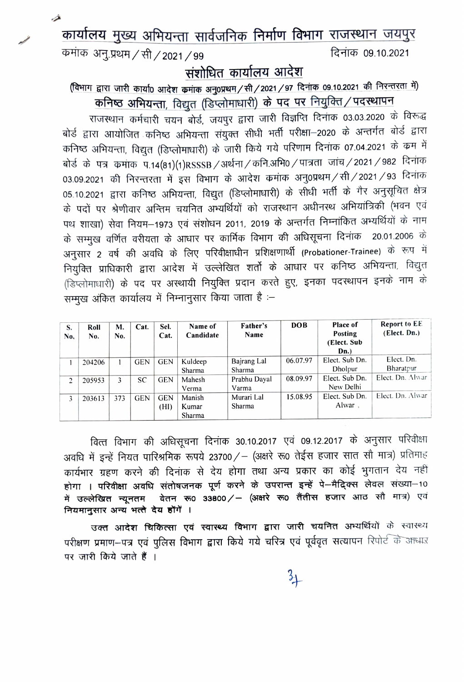कार्यालय मुख्य अभियन्ता सार्वजनिक निर्माण विभाग राजस्थान जयपुर

कमांक अनु.प्रथम / सी / 2021 / 99

⊿

दिनांक 09.10.2021

## संशोधित कार्यालय आदेश

(विभाग द्वारा जारी कार्या0 आदेश कमांक अनु0प्रथम/सी/2021/97 दिनांक 09.10.2021 की निरन्तरता में) कनिष्ठ अभियन्ता, विद्युत (डिप्लोमाधारी) के पद पर नियुक्ति / पदस्थापन

राजस्थान कर्मचारी चयन बोर्ड, जयपुर द्वारा जारी विज्ञप्ति दिनांक 03.03.2020 के विरूद्ध बोर्ड द्वारा आयोजित कनिष्ठ अभियन्ता संयुक्त सीधी भर्ती परीक्षा-2020 के अन्तर्गत बोर्ड द्वारा कनिष्ठ अभियन्ता, विद्युत (डिप्लोमाधारी) के जारी किये गये परिणाम दिनांक 07.04.2021 के कम में बोर्ड के पत्र कमांक प.14(81)(1)RSSSB / अर्थना / कनि.अभि0 / पात्रता जांच / 2021 / 982 दिनांक 03.09.2021 की निरन्तरता में इस विभाग के आदेश कमांक अनु0प्रथम / सी / 2021 / 93 दिनांक 05.10.2021 द्वारा कनिष्ठ अभियन्ता, विद्युत (डिप्लोमाधारी) के सीधी भर्ती के गैर अनुसूचित क्षेत्र के पदों पर श्रेणीवार अन्तिम चयनित अभ्यर्थियों को राजस्थान अधीनस्थ अभियांत्रिकी (भवन एवं पथ शाखा) सेवा नियम–1973 एवं संशोधन 2011, 2019 के अन्तर्गत निम्नांकित अभ्यर्थियों के नाम के सम्मुख वर्णित वरीयता के आधार पर कार्मिक विभाग की अधिसूचना दिनांक 20.01.2006 के अनुसार 2 वर्ष की अवधि के लिए परिवीक्षाधीन प्रशिक्षणार्थी (Probationer-Trainee) के रूप में नियुक्ति प्राधिकारी द्वारा आदेश में उल्लेखित शर्तो के आधार पर कनिष्ठ अभियन्ता, विद्युत (डिप्लोमाधारी) के पद पर अस्थायी नियुक्ति प्रदान करते हुए, इनका पदस्थापन इनके नाम के सम्मुख अंकित कार्यालय में निम्नानुसार किया जाता है :–

| S.<br>No. | Roll<br>No. | М.<br>No. | Cat.       | Sel.<br>Cat.       | Name of<br>Candidate      | Father's<br>Name      | <b>DOB</b> | <b>Place of</b><br>Posting<br>(Elect. Sub<br>Dn. | <b>Report to EE</b><br>(Elect. Dn.) |
|-----------|-------------|-----------|------------|--------------------|---------------------------|-----------------------|------------|--------------------------------------------------|-------------------------------------|
|           | 204206      |           | <b>GEN</b> | <b>GEN</b>         | Kuldeep<br>Sharma         | Bajrang Lal<br>Sharma | 06.07.97   | Elect. Sub Dn.<br>Dholpur                        | Elect. Dn.<br>Bharatpur             |
| 2         | 205953      | 3         | SC         | <b>GEN</b>         | Mahesh<br>Verma           | Prabhu Dayal<br>Varma | 08.09.97   | Elect. Sub Dn.<br>New Delhi                      | Elect. Dn. Alwar                    |
| 3         | 203613      | 373       | <b>GEN</b> | <b>GEN</b><br>(HI) | Manish<br>Kumar<br>Sharma | Murari Lal<br>Sharma  | 15.08.95   | Elect. Sub Dn.<br>Alwar                          | Elect. Dn. Alwar                    |

वित्त विभाग की अधिसूचना दिनांक 30.10.2017 एवं 09.12.2017 के अनुसार परिवीक्षा अवधि में इन्हें नियत पारिश्रमिक रूपये 23700/ – (अक्षरे रू0 तेईस हजार सात सौ मात्र) प्रतिमाह कार्यभार ग्रहण करने की दिनांक से देय होगा तथा अन्य प्रकार का कोई भुगतान देय नहीं होगा । परिवीक्षा अवधि संतोषजनक पूर्ण करने के उपरान्त इन्हें पे-मैदिक्स लेवल संख्या-10 में उल्लेखित न्यूनतम वेतन रू0 33800/- (अक्षरे रू0 तैंतीस हजार आठ सौ मात्र) एवं नियमानुसार अन्य भत्ते देय होंगें ।

उक्त आदेश चिकित्सा एवं स्वास्थ्य विभाग द्वारा जारी चयनित अभ्यर्थियों के स्वास्थ्य परीक्षण प्रमाण-पत्र एवं पुलिस विभाग द्वारा किये गये चरित्र एवं पूर्ववृत सत्यापन रिपोर्ट के आधार पर जारी किये जाते हैं ।

 $\frac{3}{4}$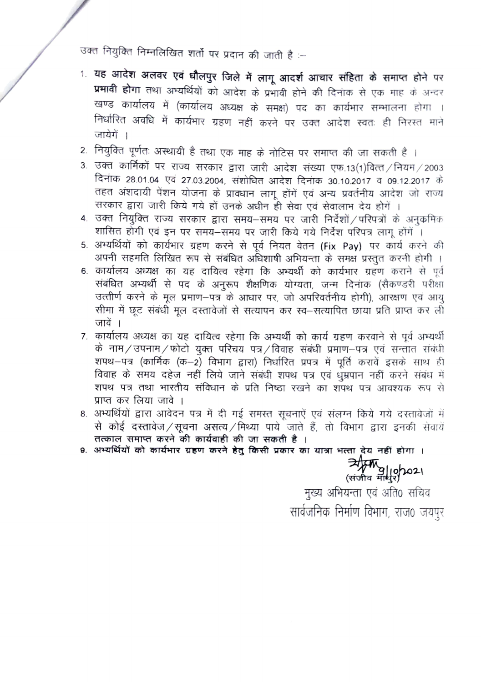उक्त नियुक्ति निम्नलिखित शर्तो पर प्रदान की जाती है :--

- 1. यह आदेश अलवर एवं धौलपुर जिले में लागू आदर्श आचार संहिता के समाप्त होने पर प्रभावी होगा तथा अभ्यर्थियों को आदेश के प्रभावी होने की दिनाक से एक माह के अन्दर खण्ड कार्यालय में (कार्यालय अध्यक्ष के समक्ष) पद का कार्यभार सम्भालना होगा. । निर्धारित अवधि में कार्यभार ग्रहण नहीं करने पर उक्त आदेश स्वतः ही निरस्त माने जायेगें ।
- 2. नियुक्ति पूर्णतः अस्थायी है तथा एक माह के नोटिस पर समाप्त की जा सकती है ।
- 3. उक्त कार्मिकों पर राज्य सरकार द्वारा जारी आदेश संख्या एफ.13(1)वित्त / नियम / 2003 दिनांक 28.01.04 एवं 27.03.2004, संशोधित आदेश दिनांक 30.10.2017 व 09.12.2017 के तहत अंशदायी पेंशन योजना के प्राक्धान लागू होंगें एवं अन्य प्रवर्तनीय आदेश जो राज्य सरकार द्वारा जारी किये गये हों उनके अधीन ही सेवा एवं सेवालाभ देय होगें ।
- 4. उक्त नियुक्ति राज्य सरकार द्वारा समय-समय पर जारी निर्देशों / परिपत्रों के अनुकमिक शासित होगी एवं इन पर समय-समय पर जारी किये गये निर्देश परिपत्र लागू होंगें ।
- 5. अभ्यर्थियों को कार्यभार ग्रहण करने से पूर्व नियत वेतन (Fix Pay) पर कार्य करने की अपनी सहमति लिखित रूप से संबंधित अधिशाषी अभियन्ता के समक्ष प्रस्तुत करनी होगी ।
- 6. कार्यालय अध्यक्ष का यह दायित्व रहेगा कि अभ्यर्थी को कार्यभार ग्रहण कराने से पूर्व संबंधित अभ्यर्थी से पद के अनुरूप शैक्षणिक योग्यता, जन्म दिनांक (सैकण्डरी परीक्षा उत्तीर्ण करने के मूल प्रमाण-पत्र के आधार पर, जो अपरिवर्तनीय होगी), आरक्षण एवं आयु सीमा में छूट संबंधी मूल दस्तावेजों से सत्यापन कर स्व-सत्यापित छाया प्रति प्राप्त कर ली जावें ।
- 7. कार्यालय अध्यक्ष का यह दायित्व रहेगा कि अभ्यर्थी को कार्य ग्रहण करवाने से पूर्व अभ्यर्थी के नाम/उपनाम/फोटो युक्त परिचय पत्र/विवाह संबंधी प्रमाण-पत्र एवं सन्तात संबंधी शपथ-पत्र (कार्मिक (क-2) विभाग द्वारा) निर्धारित प्रपत्र में पूर्ति करावें इसके साथ ही विवाह के समय दहेज नहीं लिये जाने संबंधी शपथ पत्र एवं धुम्रपान नहीं करने संबंध में शपथ पत्र तथा भारतीय संविधान के प्रति निष्ठा रखने का शपथ पत्र आवश्यक रूप से प्राप्त कर लिया जावे ।
- 8. अभ्यर्थियों द्वारा आवेदन पत्र में दी गई समस्त सूचनाऐं एवं संलग्न किये गये दस्तावेजों में से कोई दस्तावेज / सूचना असत्य / मिथ्या पाये जाते हैं, तो विभाग द्वारा इनकी सेवायें तत्काल समाप्त करने की कार्यवाही की जा सकती है ।
- 9. अभ्यर्थियों को कार्यभार ग्रहण करने हेतु किसी प्रकार का यात्रा भत्ता देय नहीं होगा ।

र्नीस्क्रि 9/10/2021<br>(संजीव माधुर)

मुख्य अभियन्ता एवं अति0 सचिव सार्वजनिक निर्माण विभाग, राज0 जयपुर